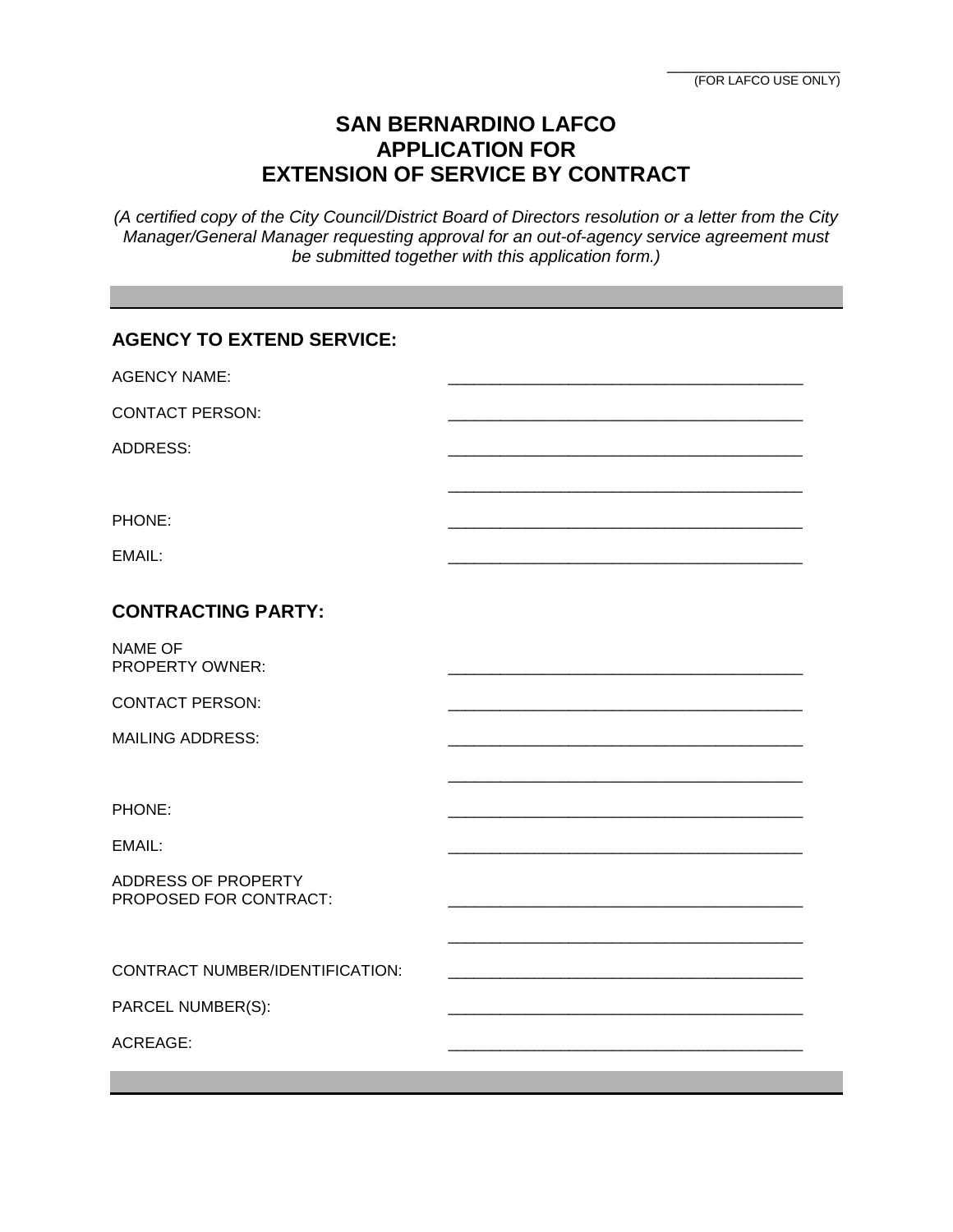## **SAN BERNARDINO LAFCO APPLICATION FOR EXTENSION OF SERVICE BY CONTRACT**

*(A certified copy of the City Council/District Board of Directors resolution or a letter from the City Manager/General Manager requesting approval for an out-of-agency service agreement must be submitted together with this application form.)* 

| <b>AGENCY TO EXTEND SERVICE:</b>              |  |
|-----------------------------------------------|--|
| <b>AGENCY NAME:</b>                           |  |
| <b>CONTACT PERSON:</b>                        |  |
| <b>ADDRESS:</b>                               |  |
|                                               |  |
| PHONE:                                        |  |
| EMAIL:                                        |  |
| <b>CONTRACTING PARTY:</b>                     |  |
| <b>NAME OF</b><br><b>PROPERTY OWNER:</b>      |  |
| <b>CONTACT PERSON:</b>                        |  |
| <b>MAILING ADDRESS:</b>                       |  |
|                                               |  |
| PHONE:                                        |  |
| EMAIL:                                        |  |
| ADDRESS OF PROPERTY<br>PROPOSED FOR CONTRACT: |  |
|                                               |  |
| CONTRACT NUMBER/IDENTIFICATION:               |  |
| PARCEL NUMBER(S):                             |  |
| <b>ACREAGE:</b>                               |  |
|                                               |  |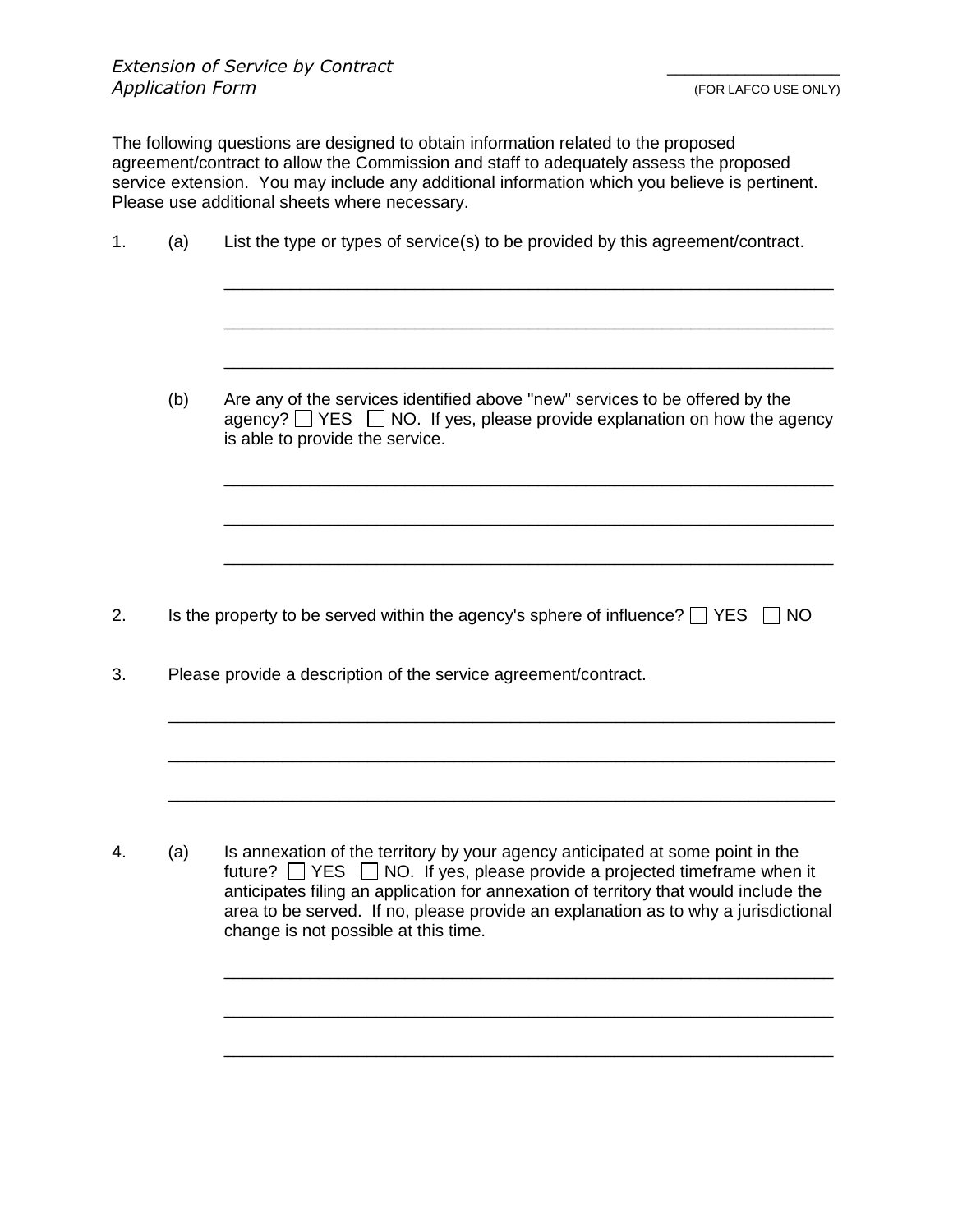The following questions are designed to obtain information related to the proposed agreement/contract to allow the Commission and staff to adequately assess the proposed service extension. You may include any additional information which you believe is pertinent. Please use additional sheets where necessary.

| 1.<br>(a) |     | List the type or types of service(s) to be provided by this agreement/contract.                                                                                                                                                                              |  |  |
|-----------|-----|--------------------------------------------------------------------------------------------------------------------------------------------------------------------------------------------------------------------------------------------------------------|--|--|
|           |     |                                                                                                                                                                                                                                                              |  |  |
|           | (b) | Are any of the services identified above "new" services to be offered by the<br>agency? $\Box$ YES $\Box$ NO. If yes, please provide explanation on how the agency<br>is able to provide the service.                                                        |  |  |
|           |     |                                                                                                                                                                                                                                                              |  |  |
| 2.        |     | Is the property to be served within the agency's sphere of influence? $\Box$ YES $\Box$ NO                                                                                                                                                                   |  |  |
| 3.        |     | Please provide a description of the service agreement/contract.                                                                                                                                                                                              |  |  |
|           |     |                                                                                                                                                                                                                                                              |  |  |
| 4.        | (a) | Is annexation of the territory by your agency anticipated at some point in the<br>future? $\Box$ YES $\Box$ NO. If yes, please provide a projected timeframe when it<br>anticipates filing an application for annexation of territory that would include the |  |  |

area to be served. If no, please provide an explanation as to why a jurisdictional

\_\_\_\_\_\_\_\_\_\_\_\_\_\_\_\_\_\_\_\_\_\_\_\_\_\_\_\_\_\_\_\_\_\_\_\_\_\_\_\_\_\_\_\_\_\_\_\_\_\_\_\_\_\_\_\_\_\_\_\_\_\_\_\_

\_\_\_\_\_\_\_\_\_\_\_\_\_\_\_\_\_\_\_\_\_\_\_\_\_\_\_\_\_\_\_\_\_\_\_\_\_\_\_\_\_\_\_\_\_\_\_\_\_\_\_\_\_\_\_\_\_\_\_\_\_\_\_\_

\_\_\_\_\_\_\_\_\_\_\_\_\_\_\_\_\_\_\_\_\_\_\_\_\_\_\_\_\_\_\_\_\_\_\_\_\_\_\_\_\_\_\_\_\_\_\_\_\_\_\_\_\_\_\_\_\_\_\_\_\_\_\_\_

change is not possible at this time.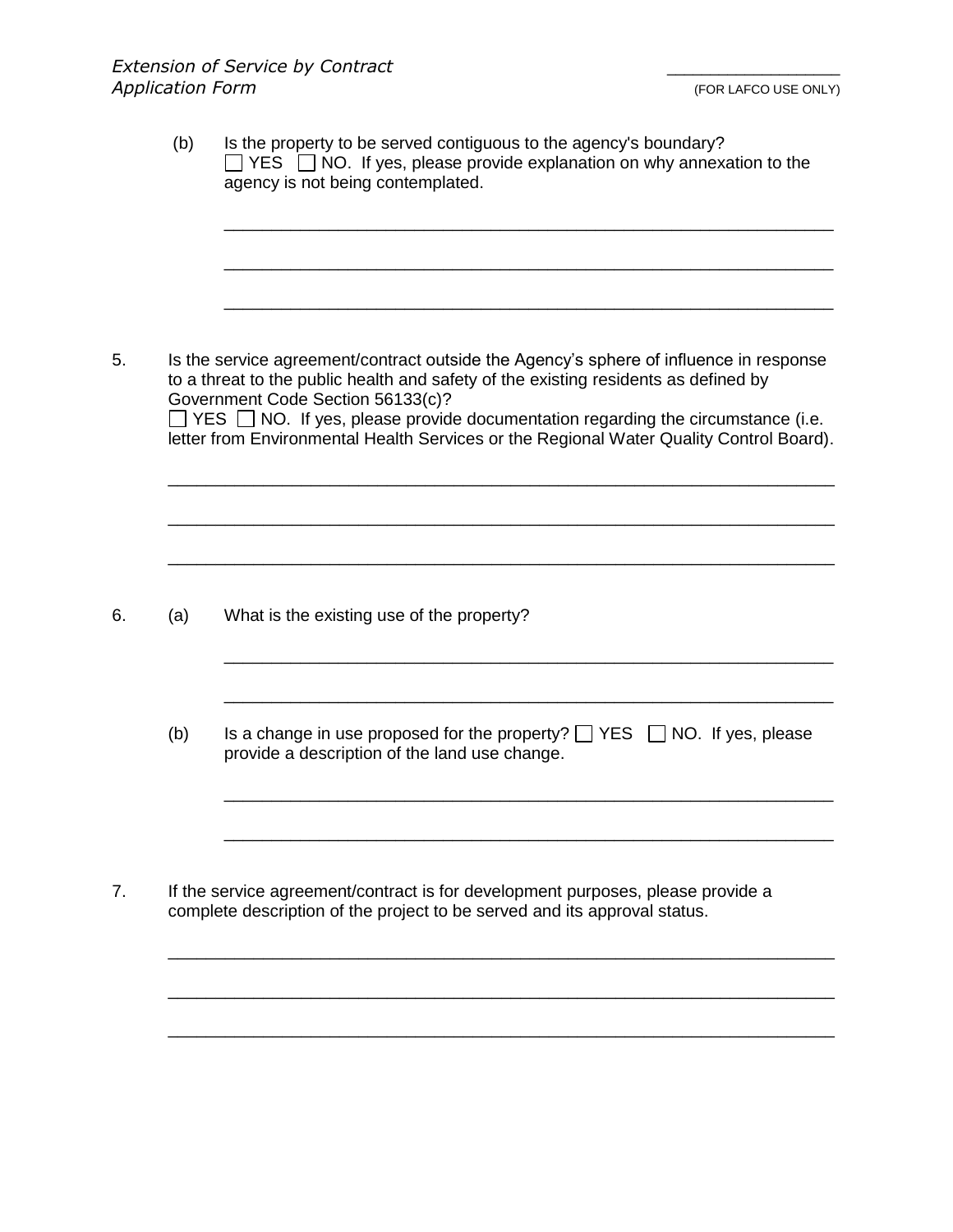| Is the service agreement/contract outside the Agency's sphere of influence in response<br>to a threat to the public health and safety of the existing residents as defined by<br>Government Code Section 56133(c)?<br>$\Box$ YES $\Box$ NO. If yes, please provide documentation regarding the circumstance (i.e.<br>letter from Environmental Health Services or the Regional Water Quality Control Board). |
|--------------------------------------------------------------------------------------------------------------------------------------------------------------------------------------------------------------------------------------------------------------------------------------------------------------------------------------------------------------------------------------------------------------|
|                                                                                                                                                                                                                                                                                                                                                                                                              |
| What is the existing use of the property?                                                                                                                                                                                                                                                                                                                                                                    |
| Is a change in use proposed for the property? $\Box$ YES $\Box$ NO. If yes, please<br>provide a description of the land use change.                                                                                                                                                                                                                                                                          |
| If the service agreement/contract is for development purposes, please provide a<br>complete description of the project to be served and its approval status.                                                                                                                                                                                                                                                 |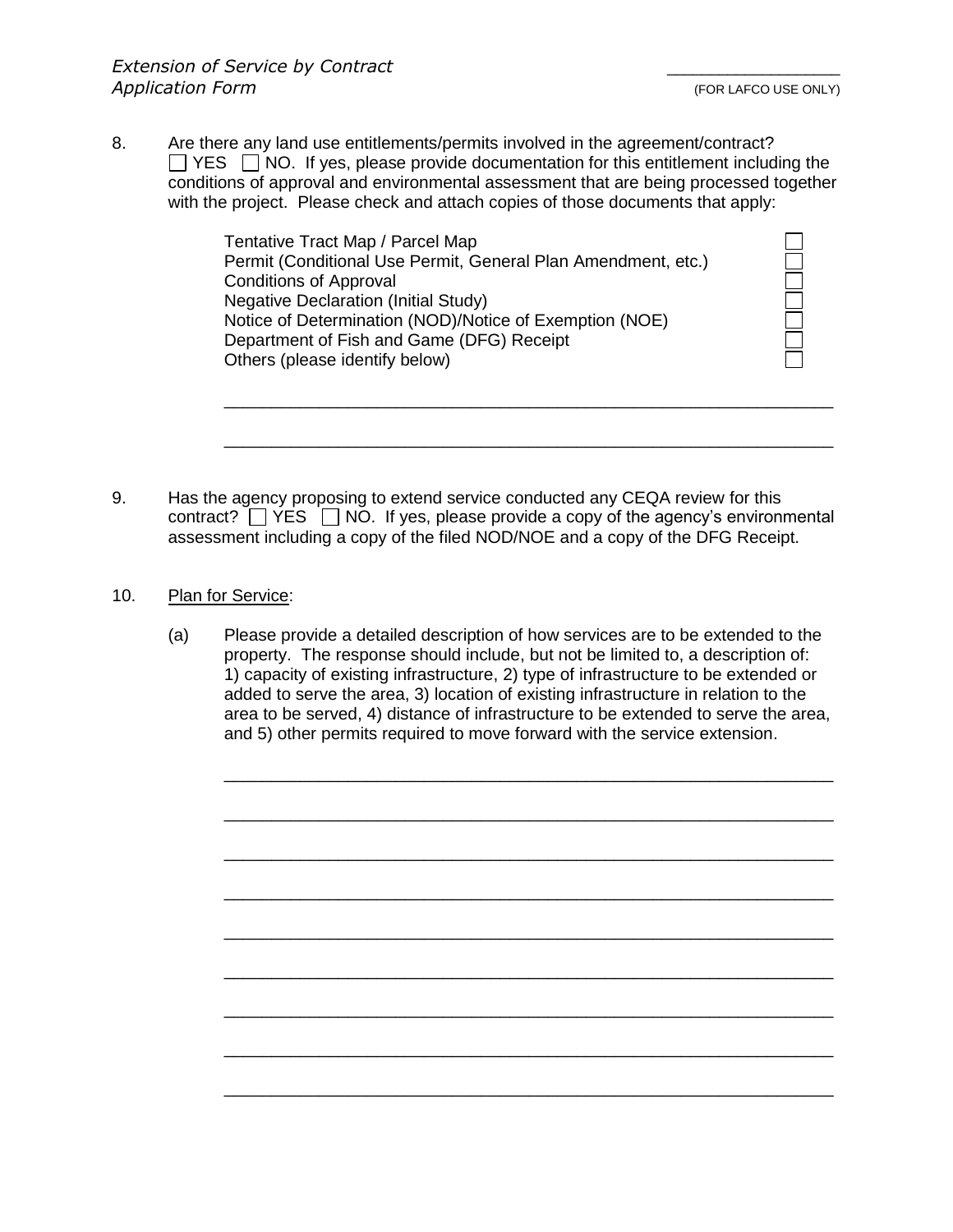8. Are there any land use entitlements/permits involved in the agreement/contract?  $\Box$  YES  $\Box$  NO. If yes, please provide documentation for this entitlement including the conditions of approval and environmental assessment that are being processed together with the project. Please check and attach copies of those documents that apply:

> Tentative Tract Map / Parcel Map Permit (Conditional Use Permit, General Plan Amendment, etc.) Conditions of Approval Negative Declaration (Initial Study) Notice of Determination (NOD)/Notice of Exemption (NOE) Department of Fish and Game (DFG) Receipt Others (please identify below)

9. Has the agency proposing to extend service conducted any CEQA review for this contract?  $\Box$  YES  $\Box$  NO. If yes, please provide a copy of the agency's environmental assessment including a copy of the filed NOD/NOE and a copy of the DFG Receipt.

\_\_\_\_\_\_\_\_\_\_\_\_\_\_\_\_\_\_\_\_\_\_\_\_\_\_\_\_\_\_\_\_\_\_\_\_\_\_\_\_\_\_\_\_\_\_\_\_\_\_\_\_\_\_\_\_\_\_\_\_\_\_\_\_

\_\_\_\_\_\_\_\_\_\_\_\_\_\_\_\_\_\_\_\_\_\_\_\_\_\_\_\_\_\_\_\_\_\_\_\_\_\_\_\_\_\_\_\_\_\_\_\_\_\_\_\_\_\_\_\_\_\_\_\_\_\_\_\_

- 10. Plan for Service:
	- (a) Please provide a detailed description of how services are to be extended to the property. The response should include, but not be limited to, a description of: 1) capacity of existing infrastructure, 2) type of infrastructure to be extended or added to serve the area, 3) location of existing infrastructure in relation to the area to be served, 4) distance of infrastructure to be extended to serve the area, and 5) other permits required to move forward with the service extension.

\_\_\_\_\_\_\_\_\_\_\_\_\_\_\_\_\_\_\_\_\_\_\_\_\_\_\_\_\_\_\_\_\_\_\_\_\_\_\_\_\_\_\_\_\_\_\_\_\_\_\_\_\_\_\_\_\_\_\_\_\_\_\_\_

\_\_\_\_\_\_\_\_\_\_\_\_\_\_\_\_\_\_\_\_\_\_\_\_\_\_\_\_\_\_\_\_\_\_\_\_\_\_\_\_\_\_\_\_\_\_\_\_\_\_\_\_\_\_\_\_\_\_\_\_\_\_\_\_

\_\_\_\_\_\_\_\_\_\_\_\_\_\_\_\_\_\_\_\_\_\_\_\_\_\_\_\_\_\_\_\_\_\_\_\_\_\_\_\_\_\_\_\_\_\_\_\_\_\_\_\_\_\_\_\_\_\_\_\_\_\_\_\_

\_\_\_\_\_\_\_\_\_\_\_\_\_\_\_\_\_\_\_\_\_\_\_\_\_\_\_\_\_\_\_\_\_\_\_\_\_\_\_\_\_\_\_\_\_\_\_\_\_\_\_\_\_\_\_\_\_\_\_\_\_\_\_\_

\_\_\_\_\_\_\_\_\_\_\_\_\_\_\_\_\_\_\_\_\_\_\_\_\_\_\_\_\_\_\_\_\_\_\_\_\_\_\_\_\_\_\_\_\_\_\_\_\_\_\_\_\_\_\_\_\_\_\_\_\_\_\_\_

\_\_\_\_\_\_\_\_\_\_\_\_\_\_\_\_\_\_\_\_\_\_\_\_\_\_\_\_\_\_\_\_\_\_\_\_\_\_\_\_\_\_\_\_\_\_\_\_\_\_\_\_\_\_\_\_\_\_\_\_\_\_\_\_

\_\_\_\_\_\_\_\_\_\_\_\_\_\_\_\_\_\_\_\_\_\_\_\_\_\_\_\_\_\_\_\_\_\_\_\_\_\_\_\_\_\_\_\_\_\_\_\_\_\_\_\_\_\_\_\_\_\_\_\_\_\_\_\_

\_\_\_\_\_\_\_\_\_\_\_\_\_\_\_\_\_\_\_\_\_\_\_\_\_\_\_\_\_\_\_\_\_\_\_\_\_\_\_\_\_\_\_\_\_\_\_\_\_\_\_\_\_\_\_\_\_\_\_\_\_\_\_\_

\_\_\_\_\_\_\_\_\_\_\_\_\_\_\_\_\_\_\_\_\_\_\_\_\_\_\_\_\_\_\_\_\_\_\_\_\_\_\_\_\_\_\_\_\_\_\_\_\_\_\_\_\_\_\_\_\_\_\_\_\_\_\_\_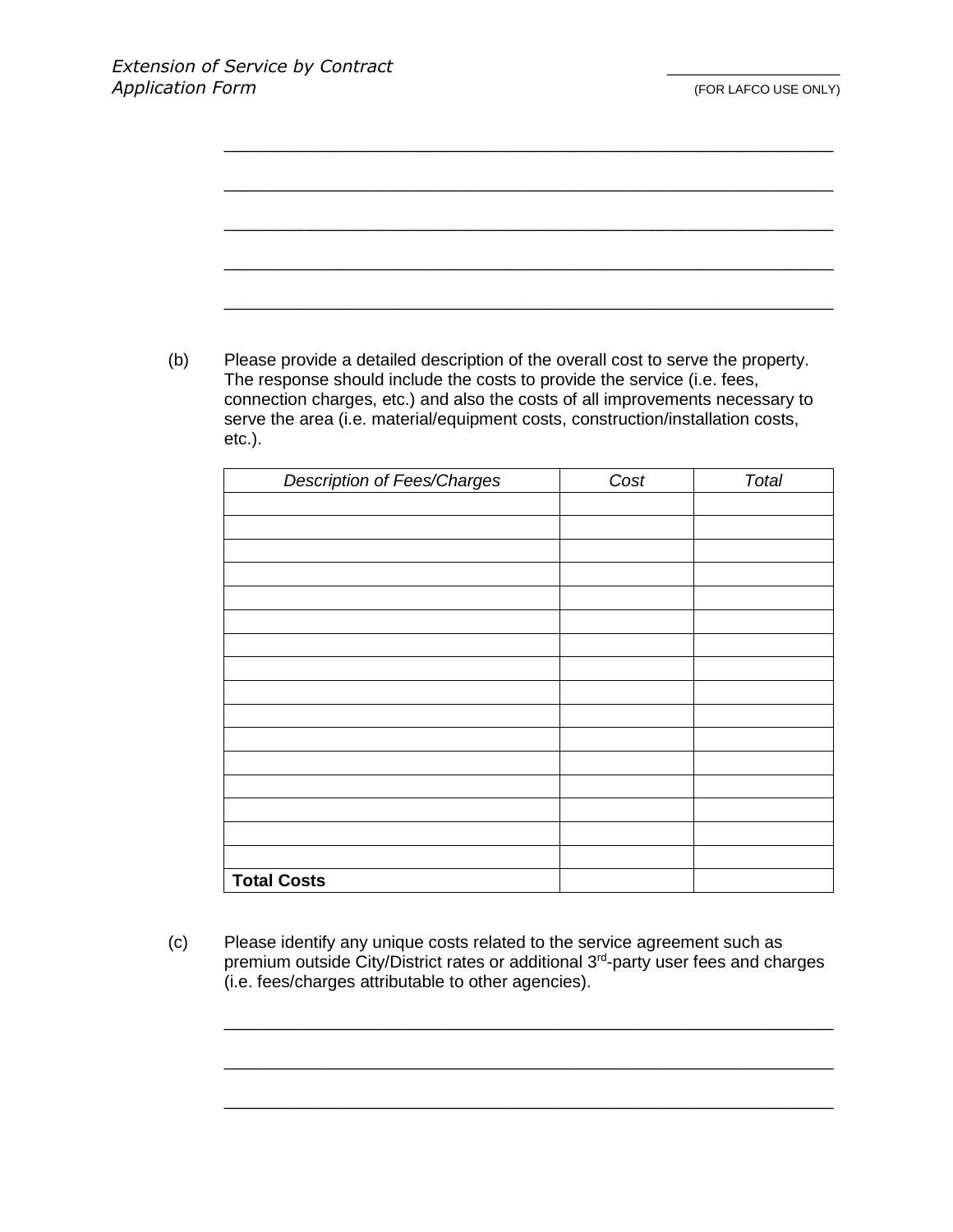| Please provide a detailed description of the overall cost to serve the property.                                                                                 |      |              |
|------------------------------------------------------------------------------------------------------------------------------------------------------------------|------|--------------|
| The response should include the costs to provide the service (i.e. fees,                                                                                         |      |              |
| connection charges, etc.) and also the costs of all improvements necessary to<br>serve the area (i.e. material/equipment costs, construction/installation costs, |      |              |
| $etc.$ ).                                                                                                                                                        |      |              |
|                                                                                                                                                                  |      |              |
| <b>Description of Fees/Charges</b>                                                                                                                               | Cost | <b>Total</b> |
|                                                                                                                                                                  |      |              |
|                                                                                                                                                                  |      |              |
|                                                                                                                                                                  |      |              |
|                                                                                                                                                                  |      |              |
|                                                                                                                                                                  |      |              |
|                                                                                                                                                                  |      |              |
|                                                                                                                                                                  |      |              |
|                                                                                                                                                                  |      |              |
|                                                                                                                                                                  |      |              |
|                                                                                                                                                                  |      |              |
|                                                                                                                                                                  |      |              |
|                                                                                                                                                                  |      |              |
|                                                                                                                                                                  |      |              |
|                                                                                                                                                                  |      |              |

(c) Please identify any unique costs related to the service agreement such as premium outside City/District rates or additional 3<sup>rd</sup>-party user fees and charges (i.e. fees/charges attributable to other agencies).

\_\_\_\_\_\_\_\_\_\_\_\_\_\_\_\_\_\_\_\_\_\_\_\_\_\_\_\_\_\_\_\_\_\_\_\_\_\_\_\_\_\_\_\_\_\_\_\_\_\_\_\_\_\_\_\_\_\_\_\_\_\_\_\_

\_\_\_\_\_\_\_\_\_\_\_\_\_\_\_\_\_\_\_\_\_\_\_\_\_\_\_\_\_\_\_\_\_\_\_\_\_\_\_\_\_\_\_\_\_\_\_\_\_\_\_\_\_\_\_\_\_\_\_\_\_\_\_\_

\_\_\_\_\_\_\_\_\_\_\_\_\_\_\_\_\_\_\_\_\_\_\_\_\_\_\_\_\_\_\_\_\_\_\_\_\_\_\_\_\_\_\_\_\_\_\_\_\_\_\_\_\_\_\_\_\_\_\_\_\_\_\_\_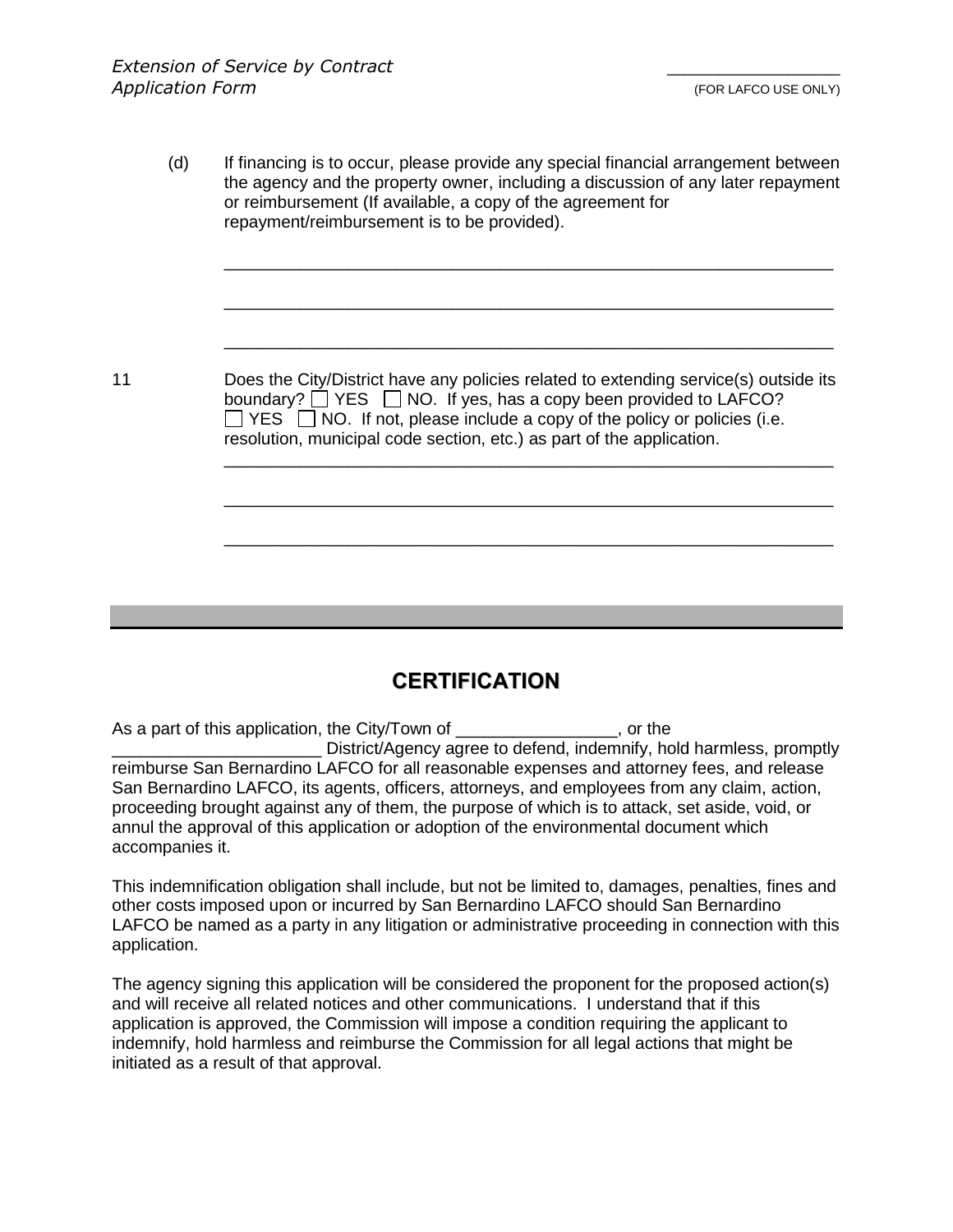(d) If financing is to occur, please provide any special financial arrangement between the agency and the property owner, including a discussion of any later repayment or reimbursement (If available, a copy of the agreement for repayment/reimbursement is to be provided). \_\_\_\_\_\_\_\_\_\_\_\_\_\_\_\_\_\_\_\_\_\_\_\_\_\_\_\_\_\_\_\_\_\_\_\_\_\_\_\_\_\_\_\_\_\_\_\_\_\_\_\_\_\_\_\_\_\_\_\_\_\_\_\_ \_\_\_\_\_\_\_\_\_\_\_\_\_\_\_\_\_\_\_\_\_\_\_\_\_\_\_\_\_\_\_\_\_\_\_\_\_\_\_\_\_\_\_\_\_\_\_\_\_\_\_\_\_\_\_\_\_\_\_\_\_\_\_\_ \_\_\_\_\_\_\_\_\_\_\_\_\_\_\_\_\_\_\_\_\_\_\_\_\_\_\_\_\_\_\_\_\_\_\_\_\_\_\_\_\_\_\_\_\_\_\_\_\_\_\_\_\_\_\_\_\_\_\_\_\_\_\_\_ 11 Does the City/District have any policies related to extending service(s) outside its boundary?  $\Box$  YES  $\Box$  NO. If yes, has a copy been provided to LAFCO?  $\Box$  YES  $\Box$  NO. If not, please include a copy of the policy or policies (i.e. resolution, municipal code section, etc.) as part of the application. \_\_\_\_\_\_\_\_\_\_\_\_\_\_\_\_\_\_\_\_\_\_\_\_\_\_\_\_\_\_\_\_\_\_\_\_\_\_\_\_\_\_\_\_\_\_\_\_\_\_\_\_\_\_\_\_\_\_\_\_\_\_\_\_ \_\_\_\_\_\_\_\_\_\_\_\_\_\_\_\_\_\_\_\_\_\_\_\_\_\_\_\_\_\_\_\_\_\_\_\_\_\_\_\_\_\_\_\_\_\_\_\_\_\_\_\_\_\_\_\_\_\_\_\_\_\_\_\_ \_\_\_\_\_\_\_\_\_\_\_\_\_\_\_\_\_\_\_\_\_\_\_\_\_\_\_\_\_\_\_\_\_\_\_\_\_\_\_\_\_\_\_\_\_\_\_\_\_\_\_\_\_\_\_\_\_\_\_\_\_\_\_\_

## **CERTIFICATION**

As a part of this application, the City/Town of \_\_\_\_\_\_\_\_\_\_\_\_\_\_\_\_\_, or the \_\_\_\_\_\_\_\_\_\_\_\_\_\_\_\_\_\_\_\_\_\_ District/Agency agree to defend, indemnify, hold harmless, promptly reimburse San Bernardino LAFCO for all reasonable expenses and attorney fees, and release San Bernardino LAFCO, its agents, officers, attorneys, and employees from any claim, action, proceeding brought against any of them, the purpose of which is to attack, set aside, void, or annul the approval of this application or adoption of the environmental document which accompanies it.

This indemnification obligation shall include, but not be limited to, damages, penalties, fines and other costs imposed upon or incurred by San Bernardino LAFCO should San Bernardino LAFCO be named as a party in any litigation or administrative proceeding in connection with this application.

The agency signing this application will be considered the proponent for the proposed action(s) and will receive all related notices and other communications. I understand that if this application is approved, the Commission will impose a condition requiring the applicant to indemnify, hold harmless and reimburse the Commission for all legal actions that might be initiated as a result of that approval.